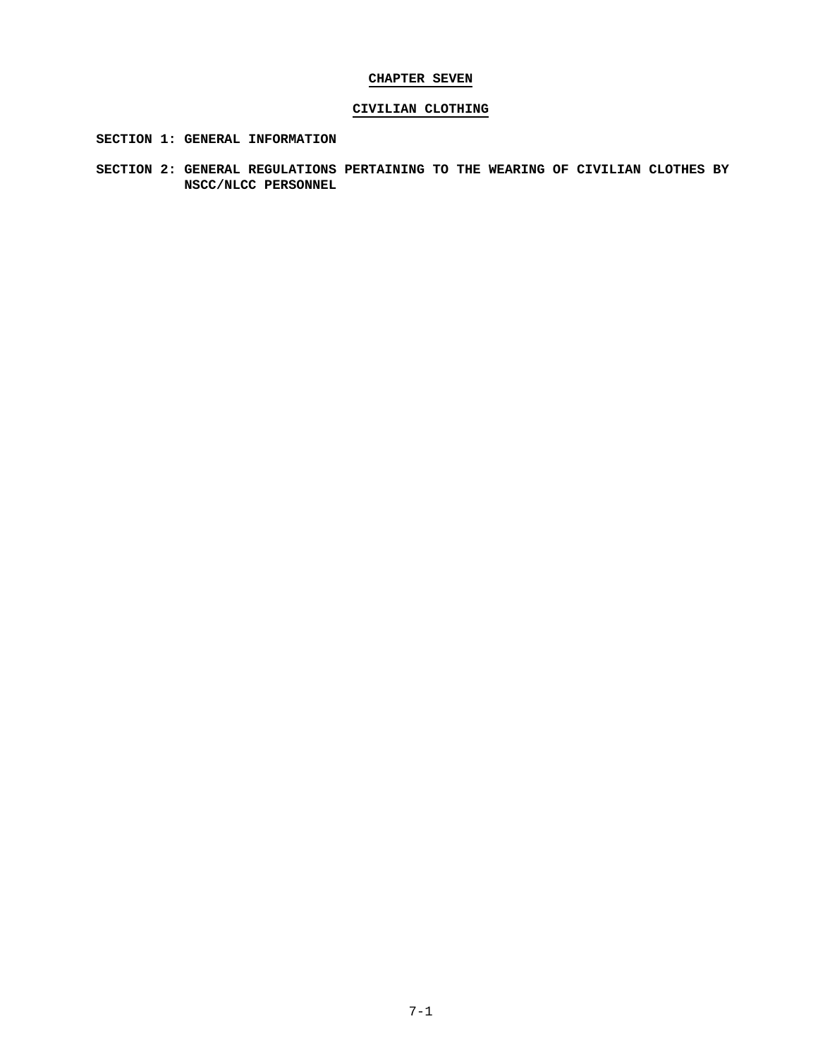## **CHAPTER SEVEN**

# **CIVILIAN CLOTHING**

**SECTION 1: GENERAL INFORMATION** 

**SECTION 2: GENERAL REGULATIONS PERTAINING TO THE WEARING OF CIVILIAN CLOTHES BY NSCC/NLCC PERSONNEL**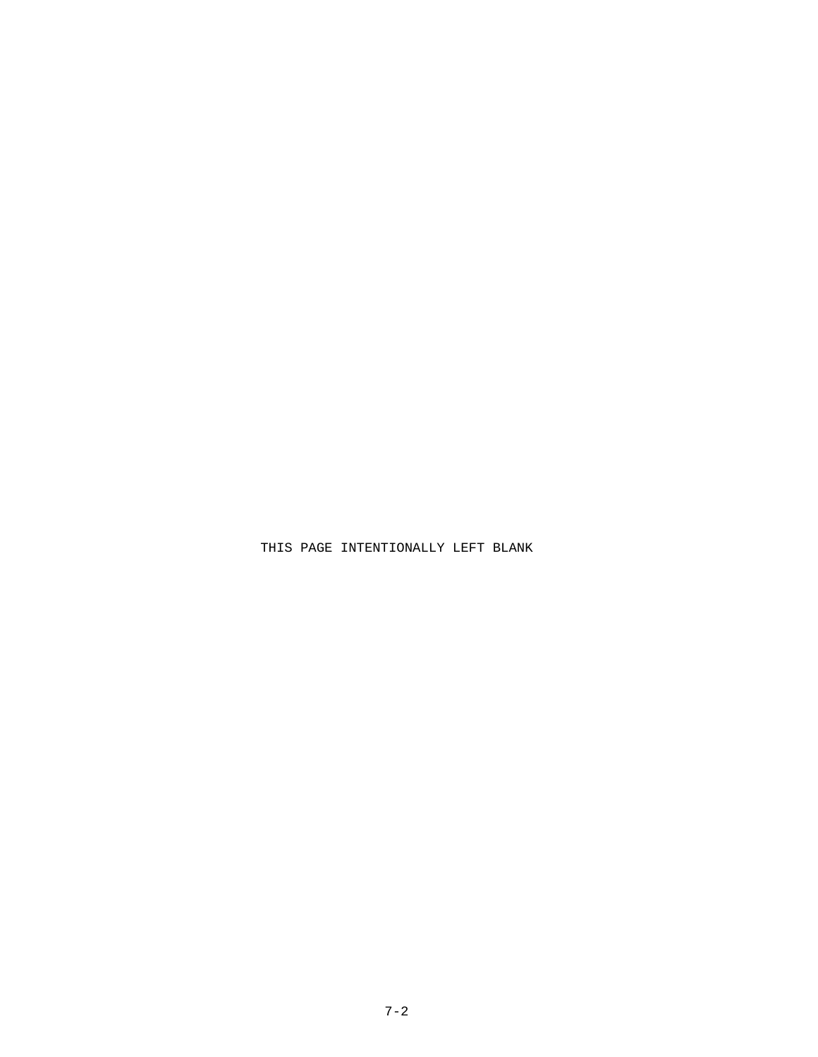THIS PAGE INTENTIONALLY LEFT BLANK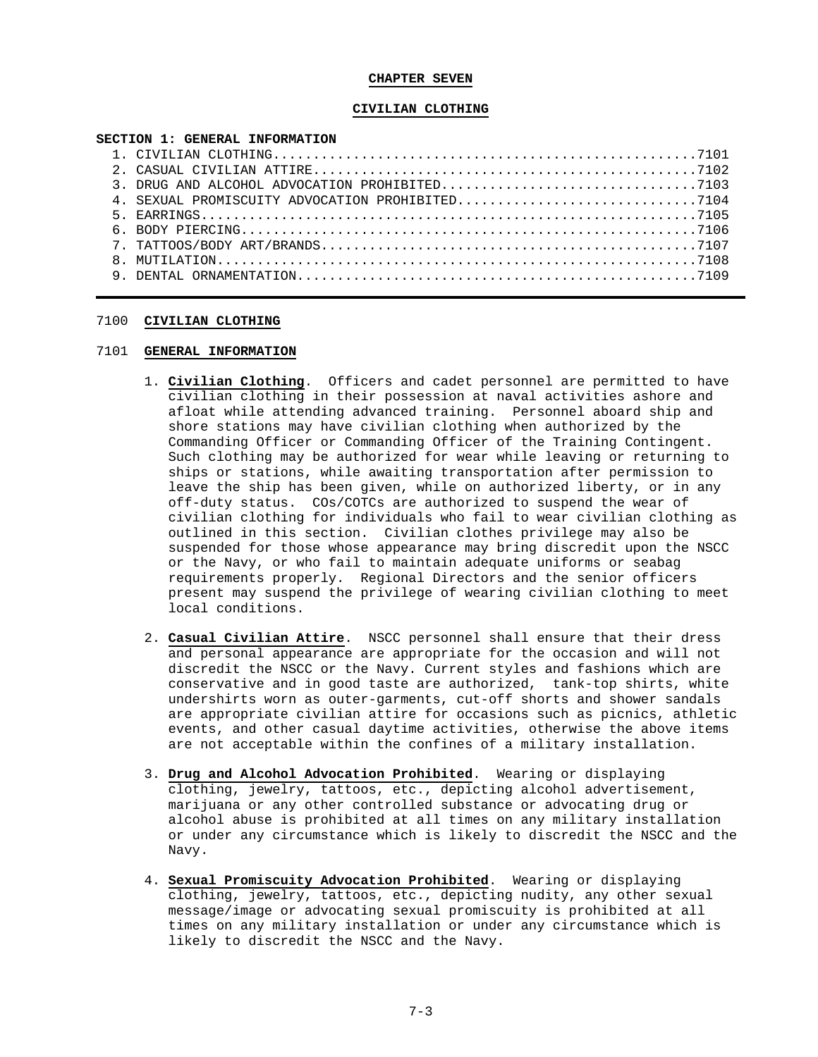### **CHAPTER SEVEN**

### **CIVILIAN CLOTHING**

### **SECTION 1: GENERAL INFORMATION**

| 3. DRUG AND ALCOHOL ADVOCATION PROHIBITED7103   |
|-------------------------------------------------|
| 4. SEXUAL PROMISCUITY ADVOCATION PROHIBITED7104 |
|                                                 |
|                                                 |
|                                                 |
|                                                 |
|                                                 |

### 7100 **CIVILIAN CLOTHING**

J.

### 7101 **GENERAL INFORMATION**

- 1. **Civilian Clothing**. Officers and cadet personnel are permitted to have civilian clothing in their possession at naval activities ashore and afloat while attending advanced training. Personnel aboard ship and shore stations may have civilian clothing when authorized by the Commanding Officer or Commanding Officer of the Training Contingent. Such clothing may be authorized for wear while leaving or returning to ships or stations, while awaiting transportation after permission to leave the ship has been given, while on authorized liberty, or in any off-duty status. COs/COTCs are authorized to suspend the wear of civilian clothing for individuals who fail to wear civilian clothing as outlined in this section. Civilian clothes privilege may also be suspended for those whose appearance may bring discredit upon the NSCC or the Navy, or who fail to maintain adequate uniforms or seabag requirements properly. Regional Directors and the senior officers present may suspend the privilege of wearing civilian clothing to meet local conditions.
- 2. **Casual Civilian Attire**. NSCC personnel shall ensure that their dress and personal appearance are appropriate for the occasion and will not discredit the NSCC or the Navy. Current styles and fashions which are conservative and in good taste are authorized, tank-top shirts, white undershirts worn as outer-garments, cut-off shorts and shower sandals are appropriate civilian attire for occasions such as picnics, athletic events, and other casual daytime activities, otherwise the above items are not acceptable within the confines of a military installation.
- 3. **Drug and Alcohol Advocation Prohibited**. Wearing or displaying clothing, jewelry, tattoos, etc., depicting alcohol advertisement, marijuana or any other controlled substance or advocating drug or alcohol abuse is prohibited at all times on any military installation or under any circumstance which is likely to discredit the NSCC and the Navy.
- 4. **Sexual Promiscuity Advocation Prohibited**. Wearing or displaying clothing, jewelry, tattoos, etc., depicting nudity, any other sexual message/image or advocating sexual promiscuity is prohibited at all times on any military installation or under any circumstance which is likely to discredit the NSCC and the Navy.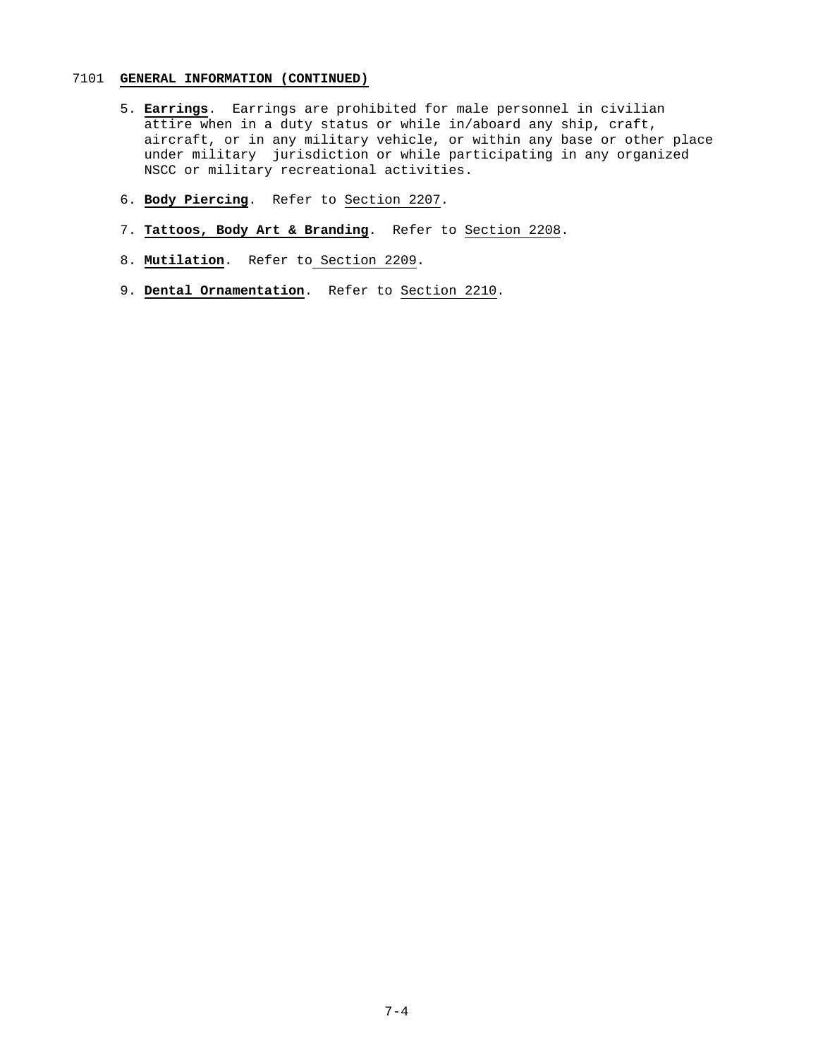## 7101 **GENERAL INFORMATION (CONTINUED)**

- 5. **Earrings**. Earrings are prohibited for male personnel in civilian attire when in a duty status or while in/aboard any ship, craft, aircraft, or in any military vehicle, or within any base or other place under military jurisdiction or while participating in any organized NSCC or military recreational activities.
- 6. **Body Piercing**. Refer to Section 2207.
- 7. **Tattoos, Body Art & Branding**. Refer to Section 2208.
- 8. **Mutilation**. Refer to Section 2209.
- 9. **Dental Ornamentation**. Refer to Section 2210.